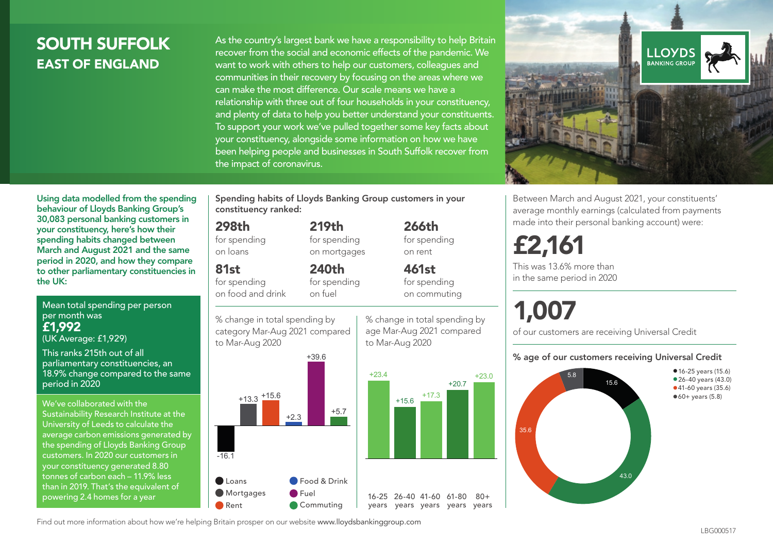### SOUTH SUFFOLK EAST OF ENGLAND

As the country's largest bank we have a responsibility to help Britain recover from the social and economic effects of the pandemic. We want to work with others to help our customers, colleagues and communities in their recovery by focusing on the areas where we can make the most difference. Our scale means we have a relationship with three out of four households in your constituency, and plenty of data to help you better understand your constituents. To support your work we've pulled together some key facts about your constituency, alongside some information on how we have been helping people and businesses in South Suffolk recover from the impact of coronavirus.



Between March and August 2021, your constituents' average monthly earnings (calculated from payments made into their personal banking account) were:

## £2,161

This was 13.6% more than in the same period in 2020

# 1,007

of our customers are receiving Universal Credit

#### % age of our customers receiving Universal Credit



Using data modelled from the spending behaviour of Lloyds Banking Group's 30,083 personal banking customers in your constituency, here's how their spending habits changed between March and August 2021 and the same period in 2020, and how they compare to other parliamentary constituencies in the UK:

Mean total spending per person per month was £1,992 (UK Average: £1,929)

This ranks 215th out of all parliamentary constituencies, an 18.9% change compared to the same period in 2020

We've collaborated with the Sustainability Research Institute at the University of Leeds to calculate the average carbon emissions generated by the spending of Lloyds Banking Group customers. In 2020 our customers in your constituency generated 8.80 tonnes of carbon each – 11.9% less than in 2019. That's the equivalent of powering 2.4 homes for a year

Spending habits of Lloyds Banking Group customers in your constituency ranked:

> 219th for spending on mortgages

240th for spending on fuel

#### 298th

for spending on loans

#### 81st

for spending on food and drink

% change in total spending by category Mar-Aug 2021 compared





% change in total spending by age Mar-Aug 2021 compared to Mar-Aug 2020

 $+15.6$   $+17.3$ 



 $+20.7$   $+23.0$ 

 $80 +$ 

for spending on commuting

Find out more information about how we're helping Britain prosper on our website www.lloydsbankinggroup.com